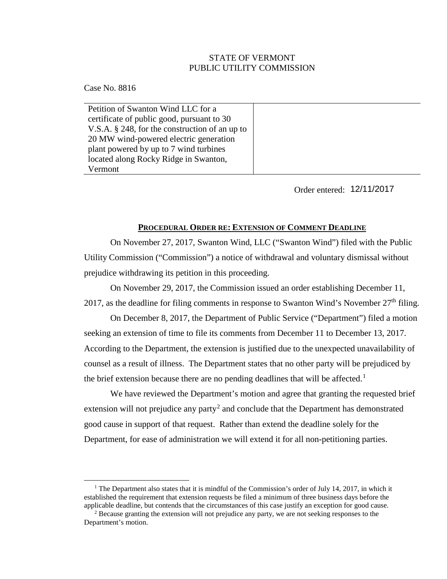## STATE OF VERMONT PUBLIC UTILITY COMMISSION

Case No. 8816

Petition of Swanton Wind LLC for a certificate of public good, pursuant to 30 V.S.A. § 248, for the construction of an up to 20 MW wind-powered electric generation plant powered by up to 7 wind turbines located along Rocky Ridge in Swanton, Vermont

Order entered: 12/11/2017

## **PROCEDURAL ORDER RE: EXTENSION OF COMMENT DEADLINE**

On November 27, 2017, Swanton Wind, LLC ("Swanton Wind") filed with the Public Utility Commission ("Commission") a notice of withdrawal and voluntary dismissal without prejudice withdrawing its petition in this proceeding.

On November 29, 2017, the Commission issued an order establishing December 11, 2017, as the deadline for filing comments in response to Swanton Wind's November  $27<sup>th</sup>$  filing.

On December 8, 2017, the Department of Public Service ("Department") filed a motion seeking an extension of time to file its comments from December 11 to December 13, 2017. According to the Department, the extension is justified due to the unexpected unavailability of counsel as a result of illness. The Department states that no other party will be prejudiced by the brief extension because there are no pending deadlines that will be affected.<sup>[1](#page-0-0)</sup>

We have reviewed the Department's motion and agree that granting the requested brief extension will not prejudice any party<sup>[2](#page-0-1)</sup> and conclude that the Department has demonstrated good cause in support of that request. Rather than extend the deadline solely for the Department, for ease of administration we will extend it for all non-petitioning parties.

<span id="page-0-0"></span><sup>&</sup>lt;sup>1</sup> The Department also states that it is mindful of the Commission's order of July 14, 2017, in which it established the requirement that extension requests be filed a minimum of three business days before the applicable deadline, but contends that the circumstances of this case justify an exception for good cause.

<span id="page-0-1"></span><sup>&</sup>lt;sup>2</sup> Because granting the extension will not prejudice any party, we are not seeking responses to the Department's motion.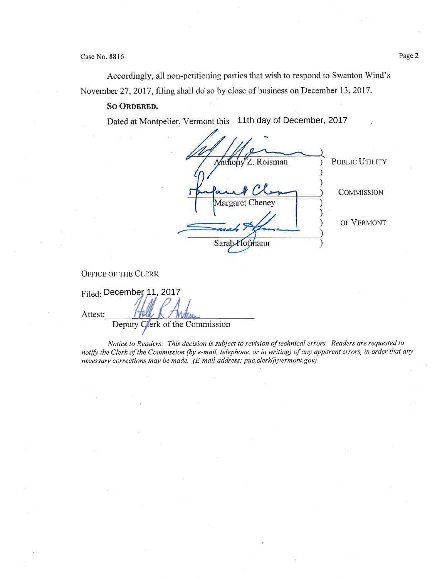Case No. 8816

Accordingly, all non-petitioning parties that wish to respond to Swanton Wind's November 27,2017, filing shall do so by close of business on December 13, 2017.

## So Ordered.

Dated at Montpelier, Vermont this 11th day of December, 2017

| nthony Z. Roisman         | PUBLIC UTILITY    |
|---------------------------|-------------------|
|                           |                   |
| ab Cle<br>Margaret Cheney | <b>COMMISSION</b> |
|                           | OF VERMONT        |
| Sarah Hofmann             |                   |

OFFICE OF THE CLERK

Filed: December 11, 2017

Attest:

Deputy Clerk of the Commission

Notice to Readers: This decision is subject to revision of technical errors. Readers are requested to notify the Clerk of the Commission (by e-mail, telephone, or inwriting) of øny apparent errors, in order that any necessary corrections may be made. (E-mail address: puc.clerk@vermont.gov)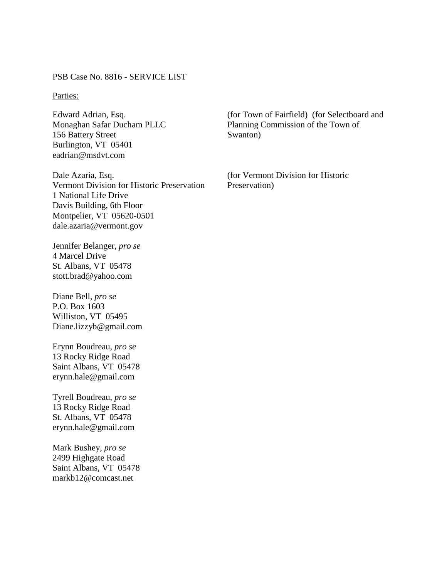PSB Case No. 8816 - SERVICE LIST

## Parties:

Edward Adrian, Esq. Monaghan Safar Ducham PLLC 156 Battery Street Burlington, VT 05401 eadrian@msdvt.com

Dale Azaria, Esq. Vermont Division for Historic Preservation 1 National Life Drive Davis Building, 6th Floor Montpelier, VT 05620-0501 dale.azaria@vermont.gov

Jennifer Belanger, *pro se* 4 Marcel Drive St. Albans, VT 05478 stott.brad@yahoo.com

Diane Bell, *pro se* P.O. Box 1603 Williston, VT 05495 Diane.lizzyb@gmail.com

Erynn Boudreau, *pro se* 13 Rocky Ridge Road Saint Albans, VT 05478 erynn.hale@gmail.com

Tyrell Boudreau, *pro se* 13 Rocky Ridge Road St. Albans, VT 05478 erynn.hale@gmail.com

Mark Bushey, *pro se* 2499 Highgate Road Saint Albans, VT 05478 markb12@comcast.net

(for Town of Fairfield) (for Selectboard and Planning Commission of the Town of Swanton)

(for Vermont Division for Historic Preservation)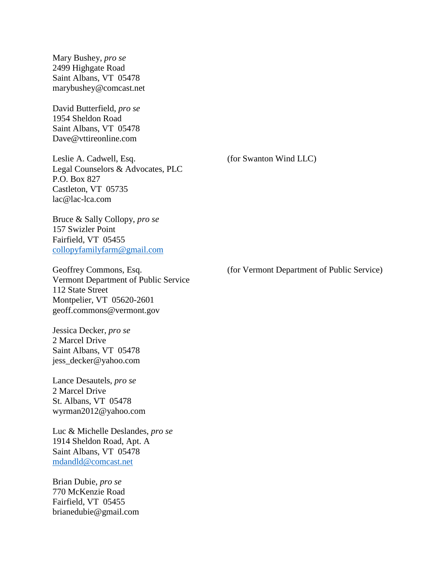Mary Bushey, *pro se* 2499 Highgate Road Saint Albans, VT 05478 marybushey@comcast.net

David Butterfield, *pro se* 1954 Sheldon Road Saint Albans, VT 05478 Dave@vttireonline.com

Leslie A. Cadwell, Esq. Legal Counselors & Advocates, PLC P.O. Box 827 Castleton, VT 05735 lac@lac-lca.com

(for Swanton Wind LLC)

Bruce & Sally Collopy, *pro se* 157 Swizler Point Fairfield, VT 05455 [collopyfamilyfarm@gmail.com](mailto:collopyfamilyfarm@gmail.com)

Geoffrey Commons, Esq. Vermont Department of Public Service 112 State Street Montpelier, VT 05620-2601 geoff.commons@vermont.gov

Jessica Decker, *pro se* 2 Marcel Drive Saint Albans, VT 05478 jess\_decker@yahoo.com

Lance Desautels, *pro se* 2 Marcel Drive St. Albans, VT 05478 wyrman2012@yahoo.com

Luc & Michelle Deslandes, *pro se* 1914 Sheldon Road, Apt. A Saint Albans, VT 05478 [mdandld@comcast.net](mailto:mdandld@comcast.net)

Brian Dubie, *pro se* 770 McKenzie Road Fairfield, VT 05455 brianedubie@gmail.com (for Vermont Department of Public Service)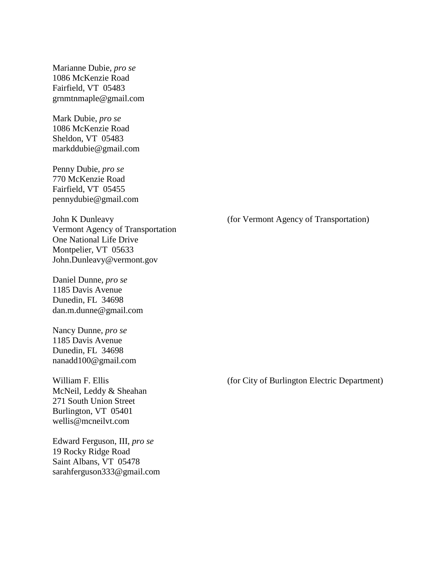Marianne Dubie, *pro se* 1086 McKenzie Road Fairfield, VT 05483 grnmtnmaple@gmail.com

Mark Dubie, *pro se* 1086 McKenzie Road Sheldon, VT 05483 markddubie@gmail.com

Penny Dubie, *pro se* 770 McKenzie Road Fairfield, VT 05455 pennydubie@gmail.com

John K Dunleavy Vermont Agency of Transportation One National Life Drive Montpelier, VT 05633 John.Dunleavy@vermont.gov

Daniel Dunne, *pro se* 1185 Davis Avenue Dunedin, FL 34698 dan.m.dunne@gmail.com

Nancy Dunne, *pro se* 1185 Davis Avenue Dunedin, FL 34698 nanadd100@gmail.com

William F. Ellis McNeil, Leddy & Sheahan 271 South Union Street Burlington, VT 05401 wellis@mcneilvt.com

Edward Ferguson, III, *pro se* 19 Rocky Ridge Road Saint Albans, VT 05478 sarahferguson333@gmail.com (for Vermont Agency of Transportation)

(for City of Burlington Electric Department)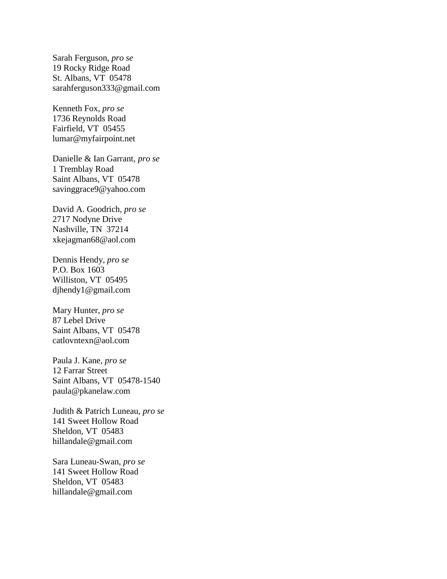Sarah Ferguson, *pro se* 19 Rocky Ridge Road St. Albans, VT 05478 sarahferguson333@gmail.com

Kenneth Fox, *pro se* 1736 Reynolds Road Fairfield, VT 05455 lumar@myfairpoint.net

Danielle & Ian Garrant, *pro se* 1 Tremblay Road Saint Albans, VT 05478 savinggrace9@yahoo.com

David A. Goodrich, *pro se* 2717 Nodyne Drive Nashville, TN 37214 xkejagman68@aol.com

Dennis Hendy, *pro se* P.O. Box 1603 Williston, VT 05495 djhendy1@gmail.com

Mary Hunter, *pro se* 87 Lebel Drive Saint Albans, VT 05478 catlovntexn@aol.com

Paula J. Kane, *pro se* 12 Farrar Street Saint Albans, VT 05478-1540 paula@pkanelaw.com

Judith & Patrich Luneau, *pro se* 141 Sweet Hollow Road Sheldon, VT 05483 hillandale@gmail.com

Sara Luneau-Swan, *pro se* 141 Sweet Hollow Road Sheldon, VT 05483 hillandale@gmail.com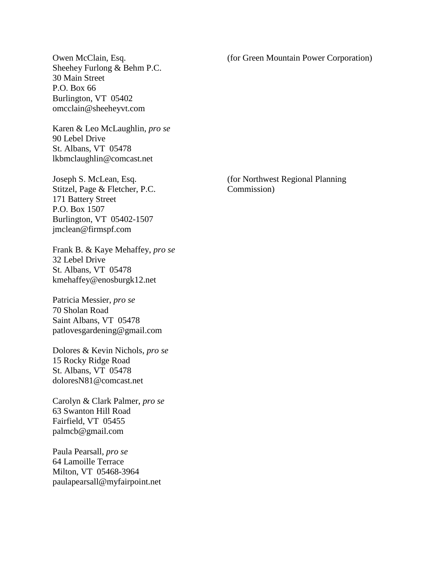(for Green Mountain Power Corporation)

Owen McClain, Esq. Sheehey Furlong & Behm P.C. 30 Main Street P.O. Box 66 Burlington, VT 05402 omcclain@sheeheyvt.com

Karen & Leo McLaughlin, *pro se* 90 Lebel Drive St. Albans, VT 05478 lkbmclaughlin@comcast.net

Joseph S. McLean, Esq. Stitzel, Page & Fletcher, P.C. 171 Battery Street P.O. Box 1507 Burlington, VT 05402-1507 jmclean@firmspf.com

Frank B. & Kaye Mehaffey, *pro se* 32 Lebel Drive St. Albans, VT 05478 kmehaffey@enosburgk12.net

Patricia Messier, *pro se* 70 Sholan Road Saint Albans, VT 05478 patlovesgardening@gmail.com

Dolores & Kevin Nichols, *pro se* 15 Rocky Ridge Road St. Albans, VT 05478 doloresN81@comcast.net

Carolyn & Clark Palmer, *pro se* 63 Swanton Hill Road Fairfield, VT 05455 palmcb@gmail.com

Paula Pearsall, *pro se* 64 Lamoille Terrace Milton, VT 05468-3964 paulapearsall@myfairpoint.net

(for Northwest Regional Planning Commission)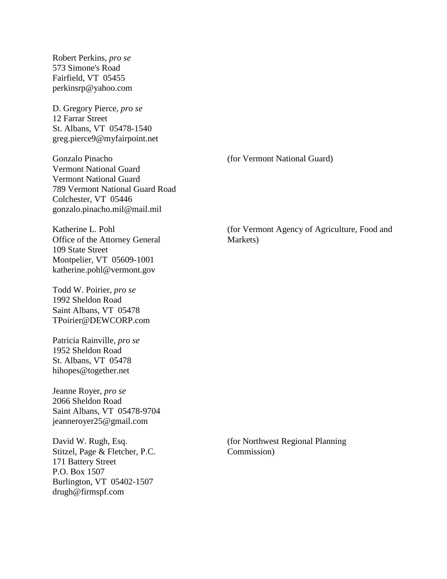Robert Perkins, *pro se* 573 Simone's Road Fairfield, VT 05455 perkinsrp@yahoo.com

D. Gregory Pierce, *pro se* 12 Farrar Street St. Albans, VT 05478-1540 greg.pierce9@myfairpoint.net

Gonzalo Pinacho Vermont National Guard Vermont National Guard 789 Vermont National Guard Road Colchester, VT 05446 gonzalo.pinacho.mil@mail.mil

Katherine L. Pohl Office of the Attorney General 109 State Street Montpelier, VT 05609-1001 katherine.pohl@vermont.gov

Todd W. Poirier, *pro se* 1992 Sheldon Road Saint Albans, VT 05478 TPoirier@DEWCORP.com

Patricia Rainville, *pro se* 1952 Sheldon Road St. Albans, VT 05478 hihopes@together.net

Jeanne Royer, *pro se* 2066 Sheldon Road Saint Albans, VT 05478-9704 jeanneroyer25@gmail.com

David W. Rugh, Esq. Stitzel, Page & Fletcher, P.C. 171 Battery Street P.O. Box 1507 Burlington, VT 05402-1507 drugh@firmspf.com

(for Vermont National Guard)

(for Vermont Agency of Agriculture, Food and Markets)

(for Northwest Regional Planning Commission)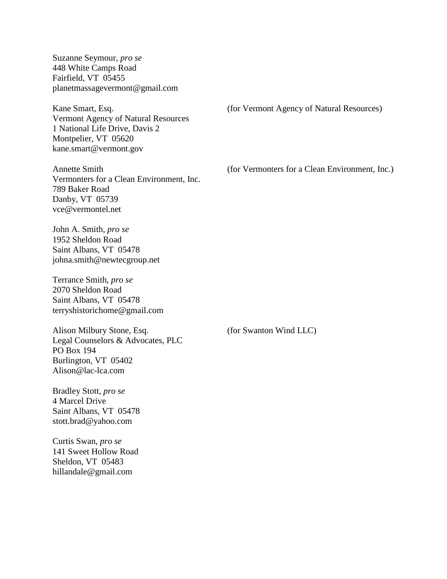Suzanne Seymour, *pro se* 448 White Camps Road Fairfield, VT 05455 planetmassagevermont@gmail.com

Kane Smart, Esq. Vermont Agency of Natural Resources 1 National Life Drive, Davis 2 Montpelier, VT 05620 kane.smart@vermont.gov

Annette Smith Vermonters for a Clean Environment, Inc. 789 Baker Road Danby, VT 05739 vce@vermontel.net

(for Vermont Agency of Natural Resources)

(for Vermonters for a Clean Environment, Inc.)

John A. Smith, *pro se* 1952 Sheldon Road Saint Albans, VT 05478 johna.smith@newtecgroup.net

Terrance Smith, *pro se* 2070 Sheldon Road Saint Albans, VT 05478 terryshistorichome@gmail.com

Alison Milbury Stone, Esq. Legal Counselors & Advocates, PLC PO Box 194 Burlington, VT 05402 Alison@lac-lca.com

Bradley Stott, *pro se* 4 Marcel Drive Saint Albans, VT 05478 stott.brad@yahoo.com

Curtis Swan, *pro se* 141 Sweet Hollow Road Sheldon, VT 05483 hillandale@gmail.com

(for Swanton Wind LLC)